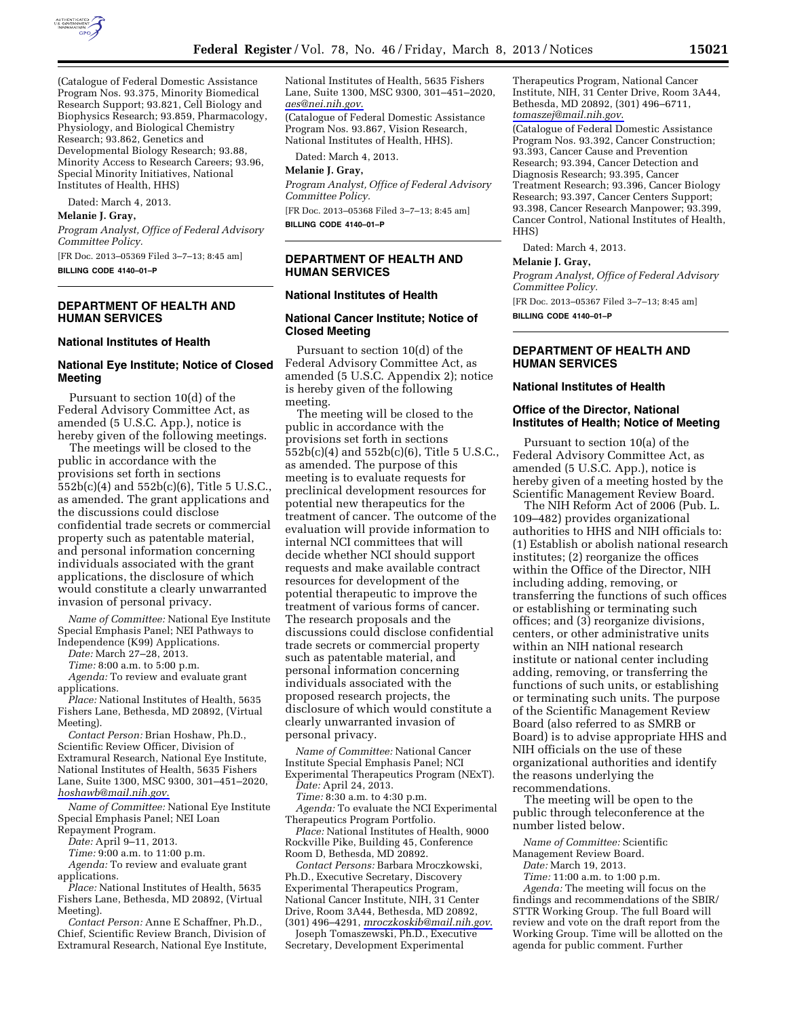

(Catalogue of Federal Domestic Assistance Program Nos. 93.375, Minority Biomedical Research Support; 93.821, Cell Biology and Biophysics Research; 93.859, Pharmacology, Physiology, and Biological Chemistry Research; 93.862, Genetics and Developmental Biology Research; 93.88, Minority Access to Research Careers; 93.96, Special Minority Initiatives, National Institutes of Health, HHS)

Dated: March 4, 2013.

#### **Melanie J. Gray,**

*Program Analyst, Office of Federal Advisory Committee Policy.* 

[FR Doc. 2013–05369 Filed 3–7–13; 8:45 am] **BILLING CODE 4140–01–P** 

## **DEPARTMENT OF HEALTH AND HUMAN SERVICES**

#### **National Institutes of Health**

## **National Eye Institute; Notice of Closed Meeting**

Pursuant to section 10(d) of the Federal Advisory Committee Act, as amended (5 U.S.C. App.), notice is hereby given of the following meetings.

The meetings will be closed to the public in accordance with the provisions set forth in sections 552b(c)(4) and 552b(c)(6), Title 5 U.S.C., as amended. The grant applications and the discussions could disclose confidential trade secrets or commercial property such as patentable material, and personal information concerning individuals associated with the grant applications, the disclosure of which would constitute a clearly unwarranted invasion of personal privacy.

*Name of Committee:* National Eye Institute Special Emphasis Panel; NEI Pathways to Independence (K99) Applications.

*Date:* March 27–28, 2013.

*Time:* 8:00 a.m. to 5:00 p.m.

*Agenda:* To review and evaluate grant applications.

*Place:* National Institutes of Health, 5635 Fishers Lane, Bethesda, MD 20892, (Virtual Meeting).

*Contact Person:* Brian Hoshaw, Ph.D., Scientific Review Officer, Division of Extramural Research, National Eye Institute, National Institutes of Health, 5635 Fishers Lane, Suite 1300, MSC 9300, 301–451–2020, *[hoshawb@mail.nih.gov](mailto:hoshawb@mail.nih.gov)*.

*Name of Committee:* National Eye Institute Special Emphasis Panel; NEI Loan Repayment Program.

*Date:* April 9–11, 2013.

*Time:* 9:00 a.m. to 11:00 p.m.

*Agenda:* To review and evaluate grant applications.

*Place:* National Institutes of Health, 5635 Fishers Lane, Bethesda, MD 20892, (Virtual Meeting).

*Contact Person:* Anne E Schaffner, Ph.D., Chief, Scientific Review Branch, Division of Extramural Research, National Eye Institute, National Institutes of Health, 5635 Fishers Lane, Suite 1300, MSC 9300, 301–451–2020, *[aes@nei.nih.gov](mailto:aes@nei.nih.gov)*.

(Catalogue of Federal Domestic Assistance Program Nos. 93.867, Vision Research, National Institutes of Health, HHS).

Dated: March 4, 2013.

#### **Melanie J. Gray,**

*Program Analyst, Office of Federal Advisory Committee Policy.* 

[FR Doc. 2013–05368 Filed 3–7–13; 8:45 am] **BILLING CODE 4140–01–P** 

**DEPARTMENT OF HEALTH AND HUMAN SERVICES** 

#### **National Institutes of Health**

## **National Cancer Institute; Notice of Closed Meeting**

Pursuant to section 10(d) of the Federal Advisory Committee Act, as amended (5 U.S.C. Appendix 2); notice is hereby given of the following meeting.

The meeting will be closed to the public in accordance with the provisions set forth in sections 552b(c)(4) and 552b(c)(6), Title 5 U.S.C., as amended. The purpose of this meeting is to evaluate requests for preclinical development resources for potential new therapeutics for the treatment of cancer. The outcome of the evaluation will provide information to internal NCI committees that will decide whether NCI should support requests and make available contract resources for development of the potential therapeutic to improve the treatment of various forms of cancer. The research proposals and the discussions could disclose confidential trade secrets or commercial property such as patentable material, and personal information concerning individuals associated with the proposed research projects, the disclosure of which would constitute a clearly unwarranted invasion of personal privacy.

*Name of Committee:* National Cancer Institute Special Emphasis Panel; NCI Experimental Therapeutics Program (NExT).

*Date:* April 24, 2013.

*Time:* 8:30 a.m. to 4:30 p.m.

*Agenda:* To evaluate the NCI Experimental Therapeutics Program Portfolio.

*Place:* National Institutes of Health, 9000 Rockville Pike, Building 45, Conference Room D, Bethesda, MD 20892.

*Contact Persons:* Barbara Mroczkowski, Ph.D., Executive Secretary, Discovery Experimental Therapeutics Program, National Cancer Institute, NIH, 31 Center Drive, Room 3A44, Bethesda, MD 20892, (301) 496–4291, *[mroczkoskib@mail.nih.gov](mailto:mroczkoskib@mail.nih.gov)*.

Joseph Tomaszewski, Ph.D., Executive Secretary, Development Experimental

Therapeutics Program, National Cancer Institute, NIH, 31 Center Drive, Room 3A44, Bethesda, MD 20892, (301) 496–6711, *[tomaszej@mail.nih.gov](mailto:tomaszej@mail.nih.gov)*.

(Catalogue of Federal Domestic Assistance Program Nos. 93.392, Cancer Construction; 93.393, Cancer Cause and Prevention Research; 93.394, Cancer Detection and Diagnosis Research; 93.395, Cancer Treatment Research; 93.396, Cancer Biology Research; 93.397, Cancer Centers Support; 93.398, Cancer Research Manpower; 93.399, Cancer Control, National Institutes of Health, HHS)

Dated: March 4, 2013.

# **Melanie J. Gray,**

*Program Analyst, Office of Federal Advisory Committee Policy.* 

[FR Doc. 2013–05367 Filed 3–7–13; 8:45 am] **BILLING CODE 4140–01–P** 

## **DEPARTMENT OF HEALTH AND HUMAN SERVICES**

## **National Institutes of Health**

## **Office of the Director, National Institutes of Health; Notice of Meeting**

Pursuant to section 10(a) of the Federal Advisory Committee Act, as amended (5 U.S.C. App.), notice is hereby given of a meeting hosted by the Scientific Management Review Board.

The NIH Reform Act of 2006 (Pub. L. 109–482) provides organizational authorities to HHS and NIH officials to: (1) Establish or abolish national research institutes; (2) reorganize the offices within the Office of the Director, NIH including adding, removing, or transferring the functions of such offices or establishing or terminating such offices; and (3) reorganize divisions, centers, or other administrative units within an NIH national research institute or national center including adding, removing, or transferring the functions of such units, or establishing or terminating such units. The purpose of the Scientific Management Review Board (also referred to as SMRB or Board) is to advise appropriate HHS and NIH officials on the use of these organizational authorities and identify the reasons underlying the recommendations.

The meeting will be open to the public through teleconference at the number listed below.

*Name of Committee:* Scientific

Management Review Board.

*Date:* March 19, 2013.

*Time:* 11:00 a.m. to 1:00 p.m. *Agenda:* The meeting will focus on the findings and recommendations of the SBIR/ STTR Working Group. The full Board will review and vote on the draft report from the Working Group. Time will be allotted on the agenda for public comment. Further